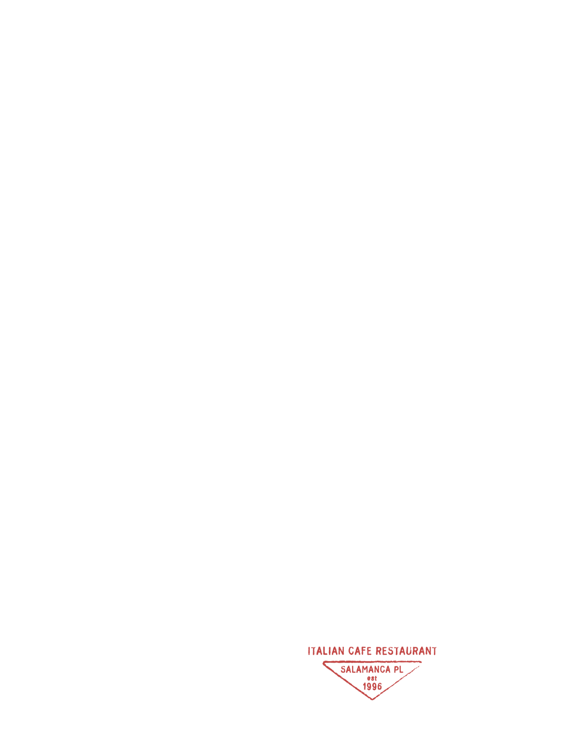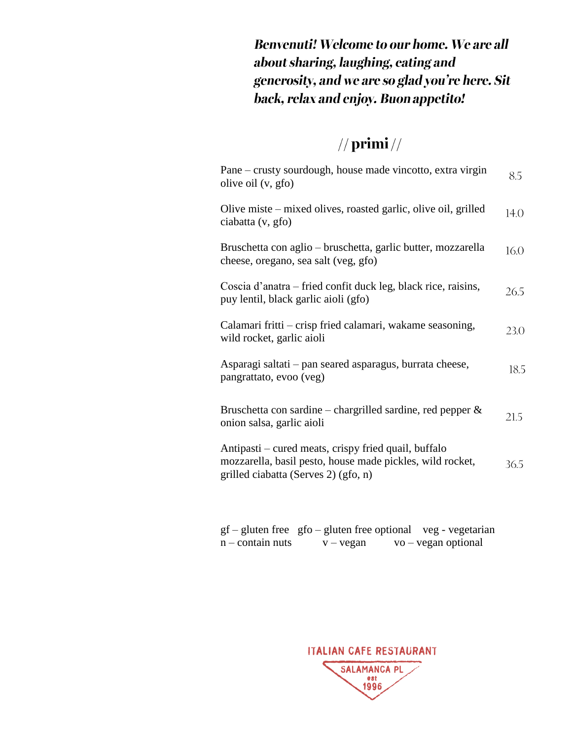**Benvenuti! Welcome to our home. We are all** about sharing, laughing, eating and generosity, and we are so glad you're here. Sit back, relax and enjoy. Buon appetito!

#### $//$  primi $//$

| Pane – crusty sourdough, house made vincotto, extra virgin<br>olive oil (v, gfo)                                                                          | 8.5  |
|-----------------------------------------------------------------------------------------------------------------------------------------------------------|------|
| Olive miste – mixed olives, roasted garlic, olive oil, grilled<br>ciabatta (v, gfo)                                                                       | 14.0 |
| Bruschetta con aglio – bruschetta, garlic butter, mozzarella<br>cheese, oregano, sea salt (veg, gfo)                                                      | 16.0 |
| Coscia d'anatra – fried confit duck leg, black rice, raisins,<br>puy lentil, black garlic aioli (gfo)                                                     | 26.5 |
| Calamari fritti – crisp fried calamari, wakame seasoning,<br>wild rocket, garlic aioli                                                                    | 23.0 |
| Asparagi saltati – pan seared asparagus, burrata cheese,<br>pangrattato, evoo (veg)                                                                       | 18.5 |
| Bruschetta con sardine – chargrilled sardine, red pepper $\&$<br>onion salsa, garlic aioli                                                                | 21.5 |
| Antipasti – cured meats, crispy fried quail, buffalo<br>mozzarella, basil pesto, house made pickles, wild rocket,<br>grilled ciabatta (Serves 2) (gfo, n) | 36.5 |

gf – gluten free gfo – gluten free optional veg - vegetarian  $n$  – contain nuts  $v$  – vegan vo – vegan optional

ITALIAN CAFE RESTAURANT **SALAMANCA PL** est 1996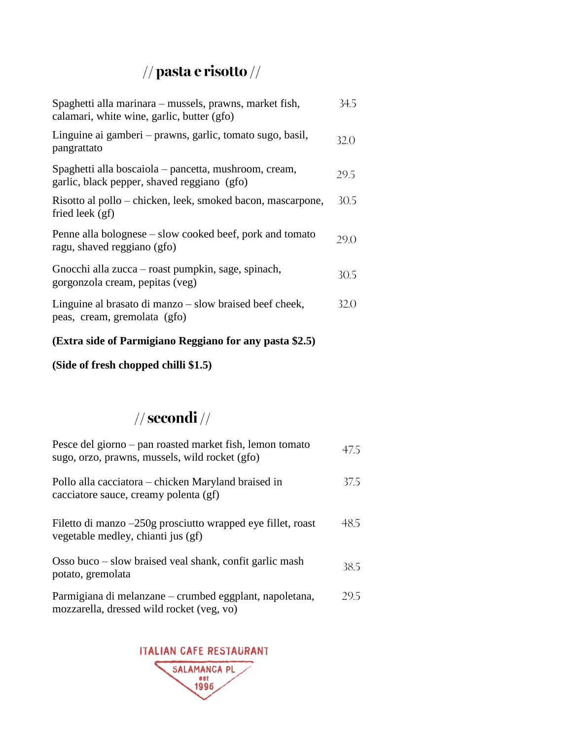## $\frac{1}{2}$  pasta e risotto  $\frac{1}{2}$

| Spaghetti alla marinara – mussels, prawns, market fish,<br>calamari, white wine, garlic, butter (gfo) | 34.5 |
|-------------------------------------------------------------------------------------------------------|------|
| Linguine ai gamberi – prawns, garlic, tomato sugo, basil,<br>pangrattato                              | 32 O |
| Spaghetti alla boscaiola – pancetta, mushroom, cream,<br>garlic, black pepper, shaved reggiano (gfo)  | 29.5 |
| Risotto al pollo – chicken, leek, smoked bacon, mascarpone,<br>fried leek $(gf)$                      | 30.5 |
| Penne alla bolognese – slow cooked beef, pork and tomato<br>ragu, shaved reggiano (gfo)               | 29 O |
| Gnocchi alla zucca – roast pumpkin, sage, spinach,<br>gorgonzola cream, pepitas (veg)                 | 30.5 |
| Linguine al brasato di manzo – slow braised beef cheek,<br>peas, cream, gremolata (gfo)               | 32.O |

#### **(Extra side of Parmigiano Reggiano for any pasta \$2.5)**

**(Side of fresh chopped chilli \$1.5)**

#### $//$  secondi  $//$

| Pesce del giorno – pan roasted market fish, lemon tomato<br>sugo, orzo, prawns, mussels, wild rocket (gfo) | 475  |
|------------------------------------------------------------------------------------------------------------|------|
| Pollo alla cacciatora – chicken Maryland braised in<br>cacciatore sauce, creamy polenta (gf)               | 375. |
| Filetto di manzo $-250g$ prosciutto wrapped eye fillet, roast<br>vegetable medley, chianti jus (gf)        | 48.5 |
| Osso buco – slow braised veal shank, confit garlic mash<br>potato, gremolata                               | 38.5 |
| Parmigiana di melanzane – crumbed eggplant, napoletana,<br>mozzarella, dressed wild rocket (veg, vo)       | 295  |

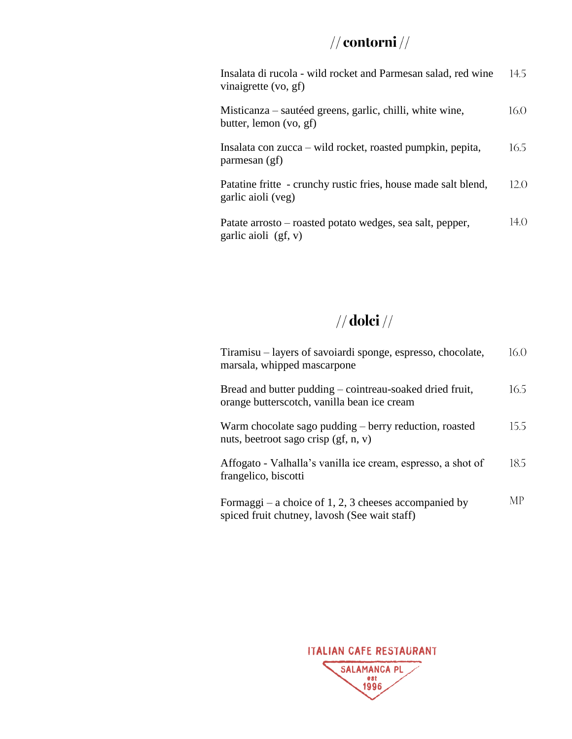#### $//$  contorni  $//$

Insalata di rucola - wild rocket and Parmesan salad, red wine 14.5 vinaigrette (vo, gf)

| Misticanza – sautéed greens, garlic, chilli, white wine, | 16.0 |
|----------------------------------------------------------|------|
| butter, lemon (vo, gf)                                   |      |

Insalata con zucca – wild rocket, roasted pumpkin, pepita, 16.5 parmesan (gf)

Patatine fritte - crunchy rustic fries, house made salt blend,  $12.0$ garlic aioli (veg)

14.0 Patate arrosto – roasted potato wedges, sea salt, pepper, garlic aioli (gf, v)

#### $//$  dolci  $//$

| Tiramisu – layers of savoiardi sponge, espresso, chocolate,<br>marsala, whipped mascarpone              | 16.0      |
|---------------------------------------------------------------------------------------------------------|-----------|
| Bread and butter pudding – cointreau-soaked dried fruit,<br>orange butterscotch, vanilla bean ice cream | 16.5      |
| Warm chocolate sago pudding – berry reduction, roasted<br>nuts, beetroot sago crisp (gf, n, v)          | 15.5      |
| Affogato - Valhalla's vanilla ice cream, espresso, a shot of<br>frangelico, biscotti                    | 18.5      |
| Formaggi – a choice of 1, 2, 3 cheeses accompanied by<br>spiced fruit chutney, lavosh (See wait staff)  | <b>MP</b> |

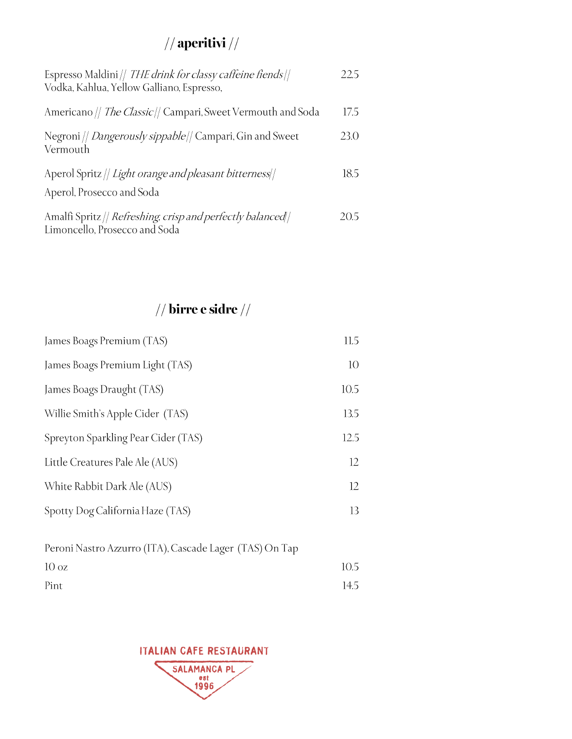### $\frac{1}{2}$  aperitivi  $\frac{1}{2}$

| Espresso Maldini // THE drink for classy caffeine fiends//<br>Vodka, Kahlua, Yellow Galliano, Espresso, | 22.5 |
|---------------------------------------------------------------------------------------------------------|------|
| Americano // The Classic// Campari, Sweet Vermouth and Soda                                             | 17.5 |
| Negroni // <i>Dangerously sippable</i> // Campari, Gin and Sweet<br>Vermouth                            | 23.0 |
| Aperol Spritz // Light orange and pleasant bitterness//<br>Aperol, Prosecco and Soda                    | 18.5 |
| Amalfi Spritz // Refreshing, crisp and perfectly balanced//<br>Limoncello, Prosecco and Soda            | 205  |

## // birre e sidre  $\frac{1}{2}$

| James Boags Premium (TAS)           | 11.5 |
|-------------------------------------|------|
| James Boags Premium Light (TAS)     | 10   |
| James Boags Draught (TAS)           | 10.5 |
| Willie Smith's Apple Cider (TAS)    | 13.5 |
| Spreyton Sparkling Pear Cider (TAS) | 12.5 |
| Little Creatures Pale Ale (AUS)     | 12   |
| White Rabbit Dark Ale (AUS)         | 12   |
| Spotty Dog California Haze (TAS)    | 13   |

| Peroni Nastro Azzurro (ITA), Cascade Lager (TAS) On Tap |      |
|---------------------------------------------------------|------|
| $10 \text{ oz}$                                         | 10.5 |
| Pint                                                    | 14.5 |

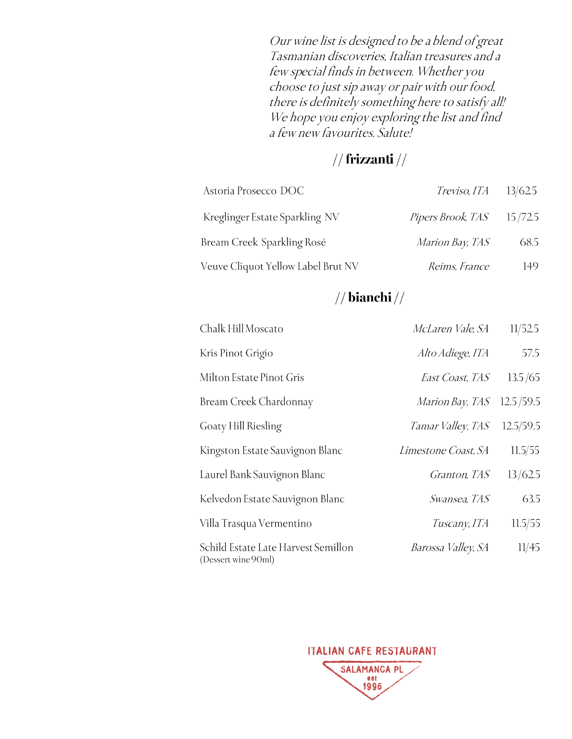Our wine list is designed to be a blend of great Tasmanian discoveries, Italian treasures and a few special finds in between. Whether you choose to just sip away or pair with our food, there is definitely something here to satisfy all! We hope you enjoy exploring the list and find a few new favourites. Salute!

#### $//$  frizzanti  $//$

| Astoria Prosecco DOC               | $Treviso, ITA = 13/62.5$    |      |
|------------------------------------|-----------------------------|------|
| Kreglinger Estate Sparkling NV     | Pipers Brook, TAS $15/72.5$ |      |
| Bream Creek Sparkling Rosé         | Marion Bay, TAS             | 68.5 |
| Veuve Cliquot Yellow Label Brut NV | Reims, France               | 149  |

#### $//$  bianchi $//$

| Chalk Hill Moscato                                         | McLaren Vale, SA       | 11/52.5   |
|------------------------------------------------------------|------------------------|-----------|
| Kris Pinot Grigio                                          | Alto Adiege, ITA       | 57.5      |
| Milton Estate Pinot Gris                                   | East Coast, TAS        | 13.5/65   |
| Bream Creek Chardonnay                                     | <i>Marion Bay, TAS</i> | 12.5/59.5 |
| Goaty Hill Riesling                                        | Tamar Valley, TAS      | 12.5/59.5 |
| Kingston Estate Sauvignon Blanc                            | Limestone Coast, SA    | 11.5/55   |
| Laurel Bank Sauvignon Blanc                                | Granton, TAS           | 13/62.5   |
| Kelvedon Estate Sauvignon Blanc                            | Swansea, TAS           | 63.5      |
| Villa Trasqua Vermentino                                   | Tuscany, ITA           | 11.5/55   |
| Schild Estate Late Harvest Semillon<br>(Dessert wine 90ml) | Barossa Valley, SA     | 11/45     |

ITALIAN CAFE RESTAURANT

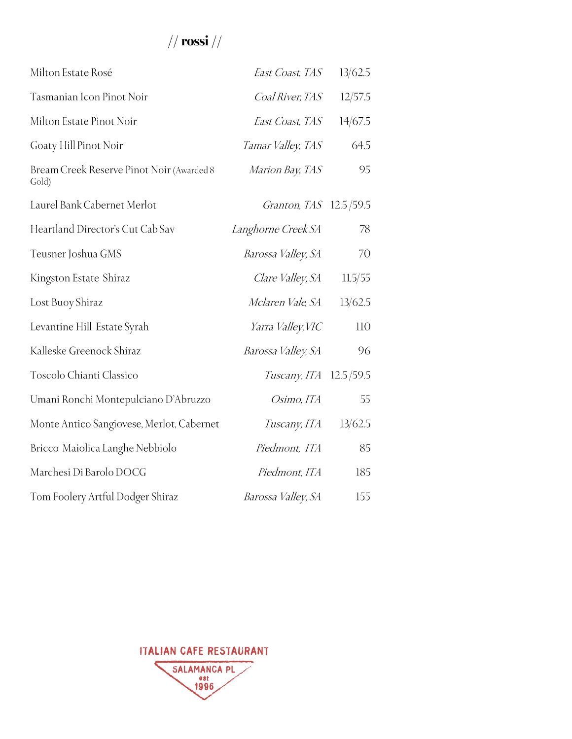## //  $\mathbf{r}$ ossi //

| Milton Estate Rosé                                 | East Coast, TAS           | 13/62.5   |
|----------------------------------------------------|---------------------------|-----------|
| Tasmanian Icon Pinot Noir                          | <i>Coal River, TAS</i>    | 12/57.5   |
| Milton Estate Pinot Noir                           | East Coast, TAS           | 14/67.5   |
| Goaty Hill Pinot Noir                              | Tamar Valley, TAS         | 64.5      |
| Bream Creek Reserve Pinot Noir (Awarded 8<br>Gold) | Marion Bay, TAS           | 95        |
| Laurel Bank Cabernet Merlot                        | Granton, TAS 12.5/59.5    |           |
| Heartland Director's Cut Cab Sav                   | <i>Langhorne Creek SA</i> | 78        |
| Teusner Joshua GMS                                 | Barossa Valley, SA        | 70        |
| Kingston Estate Shiraz                             | Clare Valley, SA          | 11.5/55   |
| Lost Buoy Shiraz                                   | Mclaren Vale, SA          | 13/62.5   |
| Levantine Hill Estate Syrah                        | Yarra Valley, VIC         | 110       |
| Kalleske Greenock Shiraz                           | <i>Barossa Valley, SA</i> | 96        |
| Toscolo Chianti Classico                           | <i>Tuscany, ITA</i>       | 12.5/59.5 |
| Umani Ronchi Montepulciano D'Abruzzo               | Osimo, ITA                | 55        |
| Monte Antico Sangiovese, Merlot, Cabernet          | Tuscany, ITA              | 13/62.5   |
| Bricco Maiolica Langhe Nebbiolo                    | Piedmont, ITA             | 85        |
| Marchesi Di Barolo DOCG                            | Piedmont, ITA             | 185       |
| Tom Foolery Artful Dodger Shiraz                   | Barossa Valley, SA        | 155       |

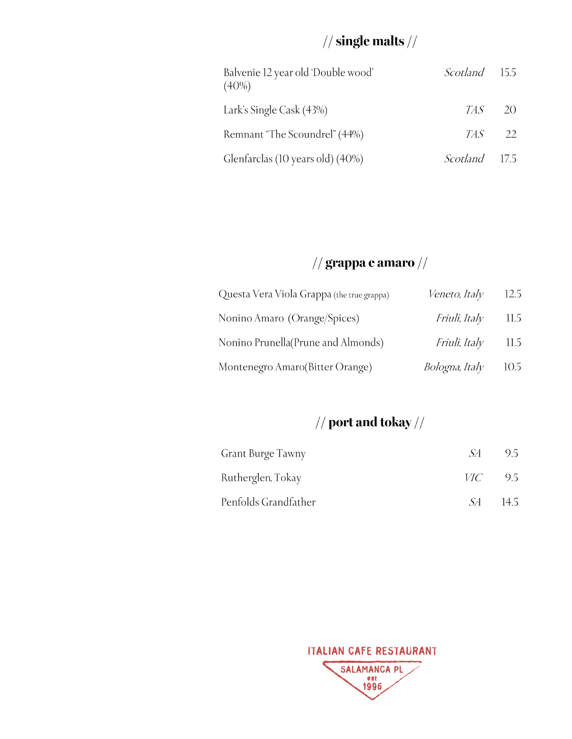## $\frac{1}{2}$  single malts  $\frac{1}{2}$

| Balvenie 12 year old 'Double wood'<br>$(40\%)$ | <i>Scotland</i> 15.5 |    |
|------------------------------------------------|----------------------|----|
| Lark's Single Cask (43%)                       | TAS.                 | 20 |
| Remnant "The Scoundrel" (44%)                  | $TAS$ 22             |    |
| Glenfarclas (10 years old) (40%)               | <i>Scotland</i> 17.5 |    |

### $\frac{1}{2}$  grappa e amaro  $\frac{1}{2}$

| Questa Vera Viola Grappa (the true grappa) | Veneto, Italy                      | 12.5   |
|--------------------------------------------|------------------------------------|--------|
| Nonino Amaro (Orange/Spices)               | <i>Friuli, Italy</i> 11.5          |        |
| Nonino Prunella (Prune and Almonds)        | Friuli, Italy                      | - 11.5 |
| Montenegro Amaro(Bitter Orange)            | <i>Bologna</i> , <i>Italy</i> 10.5 |        |

## $\frac{1}{2}$  port and tokay  $\frac{1}{2}$

| Grant Burge Tawny    | -SA -          | -9.5  |
|----------------------|----------------|-------|
| Rutherglen, Tokay    | <i>VIC</i> 9.5 |       |
| Penfolds Grandfather | -SA -          | -14.5 |

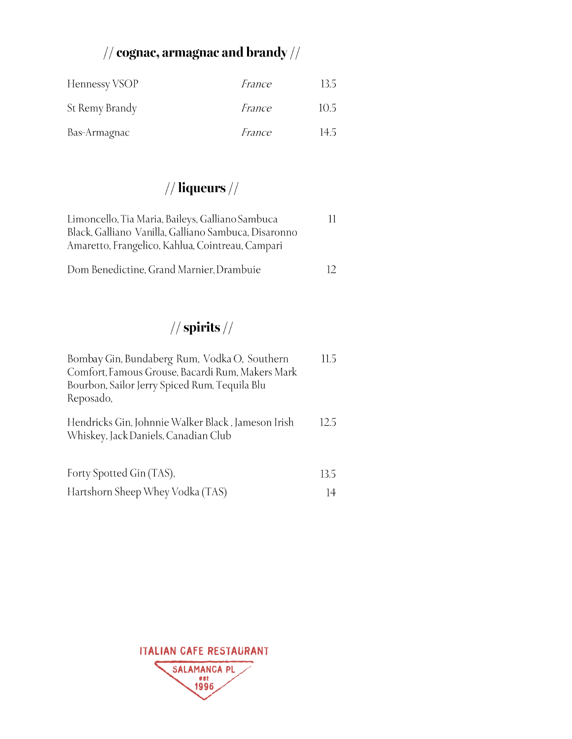# // cognac, armagnac and brandy  $\mathcal{U}/\mathcal{U}$

| Hennessy VSOP  | <i>France</i> | 13.5 |
|----------------|---------------|------|
| St Remy Brandy | <i>France</i> | 10.5 |
| Bas-Armagnac   | France        | 14.5 |

## $//$  liqueurs  $//$

| Limoncello, Tia Maria, Baileys, Galliano Sambuca<br>Black, Galliano Vanilla, Galliano Sambuca, Disaronno<br>Amaretto, Frangelico, Kahlua, Cointreau, Campari |     |
|--------------------------------------------------------------------------------------------------------------------------------------------------------------|-----|
| Dom Benedictine, Grand Marnier, Drambuie                                                                                                                     | 12. |

## // spirits //

| Bombay Gin, Bundaberg Rum, Vodka O, Southern<br>Comfort, Famous Grouse, Bacardi Rum, Makers Mark<br>Bourbon, Sailor Jerry Spiced Rum, Tequila Blu<br>Reposado, | 11.5 |
|----------------------------------------------------------------------------------------------------------------------------------------------------------------|------|
| Hendricks Gin, Johnnie Walker Black, Jameson Irish<br>Whiskey, Jack Daniels, Canadian Club                                                                     | 12.5 |
| Forty Spotted Gin (TAS),                                                                                                                                       | 13.5 |
| Hartshorn Sheep Whey Vodka (TAS)                                                                                                                               | 14   |